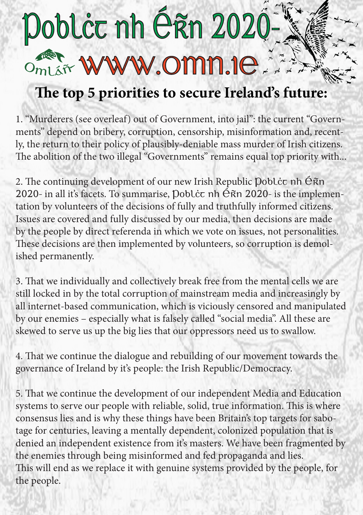## Doblċc nh Érn 2020-Omlář WWW.OMN.1e.

## **The top 5 priorities to secure Ireland's future:**

1. "Murderers (see overleaf) out of Government, into jail": the current "Governments" depend on bribery, corruption, censorship, misinformation and, recently, the return to their policy of plausibly-deniable mass murder of Irish citizens. The abolition of the two illegal "Governments" remains equal top priority with...

2. The continuing development of our new Irish Republic Doblcc nh Éñn 2020- in all it's facets. To summarise, Doblcc nh Éñn 2020- is the implementation by volunteers of the decisions of fully and truthfully informed citizens. Issues are covered and fully discussed by our media, then decisions are made by the people by direct referenda in which we vote on issues, not personalities. These decisions are then implemented by volunteers, so corruption is demolished permanently.

3. That we individually and collectively break free from the mental cells we are still locked in by the total corruption of mainstream media and increasingly by all internet-based communication, which is viciously censored and manipulated by our enemies – especially what is falsely called "social media". All these are skewed to serve us up the big lies that our oppressors need us to swallow.

4. That we continue the dialogue and rebuilding of our movement towards the governance of Ireland by it's people: the Irish Republic/Democracy.

5. That we continue the development of our independent Media and Education systems to serve our people with reliable, solid, true information. This is where consensus lies and is why these things have been Britain's top targets for sabotage for centuries, leaving a mentally dependent, colonized population that is denied an independent existence from it's masters. We have been fragmented by the enemies through being misinformed and fed propaganda and lies. This will end as we replace it with genuine systems provided by the people, for the people.